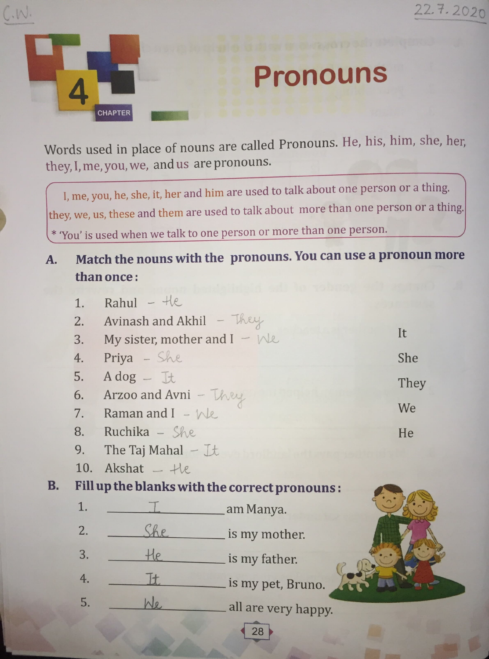

**B.** 

 $C.W.$ 

## **Pronouns**

Words used in place of nouns are called Pronouns. He, his, him, she, her, they, I, me, you, we, and us are pronouns.

I, me, you, he, she, it, her and him are used to talk about one person or a thing. they, we, us, these and them are used to talk about more than one person or a thing. \* 'You' is used when we talk to one person or more than one person.

## Match the nouns with the pronouns. You can use a pronoun more A. than once:

| 1.                                            | $Rahul - He$                      |                     |      |  |
|-----------------------------------------------|-----------------------------------|---------------------|------|--|
| 2.                                            | Avinash and Akhil $-$ They        |                     |      |  |
| 3.                                            | My sister, mother and $I - W\ell$ |                     | It   |  |
| 4.                                            | Priya - She                       |                     | She  |  |
| 5.                                            | $A dog - It$                      |                     | They |  |
| 6.                                            | Arzoo and Avni - They             |                     |      |  |
| 7.                                            | We<br>Raman and $I - W$           |                     |      |  |
| 8.                                            | $Ruchika - She$                   |                     | He   |  |
| 9.                                            | The Taj Mahal $ \mathbb{L}$ t     |                     |      |  |
| 10.                                           | $A$ kshat $ +$ ke                 |                     |      |  |
| Fill up the blanks with the correct pronouns: |                                   |                     |      |  |
| 1.                                            |                                   | _am Manya.          |      |  |
| 2.                                            | She                               | _ is my mother.     |      |  |
| 3.                                            | He                                | is my father.       |      |  |
| 4.                                            | H                                 | is my pet, Bruno.   |      |  |
| 5.                                            |                                   | all are very happy. |      |  |
|                                               |                                   |                     |      |  |

28